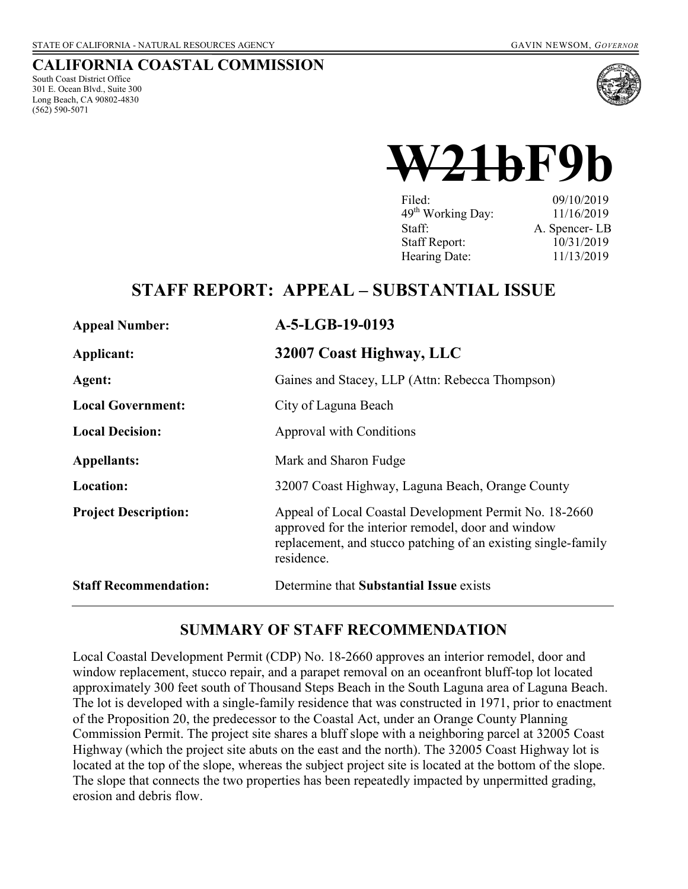# **CALIFORNIA COASTAL COMMISSION**

South Coast District Office 301 E. Ocean Blvd., Suite 300 Long Beach, CA 90802-4830 (562) 590-5071



# **W21bF9b**

| Filed:                        | 09/10/2019    |
|-------------------------------|---------------|
| 49 <sup>th</sup> Working Day: | 11/16/2019    |
| Staff:                        | A. Spencer-LB |
| <b>Staff Report:</b>          | 10/31/2019    |
| Hearing Date:                 | 11/13/2019    |

# **STAFF REPORT: APPEAL – SUBSTANTIAL ISSUE**

| <b>Appeal Number:</b>        | A-5-LGB-19-0193                                                                                                                                                                             |
|------------------------------|---------------------------------------------------------------------------------------------------------------------------------------------------------------------------------------------|
| Applicant:                   | 32007 Coast Highway, LLC                                                                                                                                                                    |
| Agent:                       | Gaines and Stacey, LLP (Attn: Rebecca Thompson)                                                                                                                                             |
| <b>Local Government:</b>     | City of Laguna Beach                                                                                                                                                                        |
| <b>Local Decision:</b>       | Approval with Conditions                                                                                                                                                                    |
| <b>Appellants:</b>           | Mark and Sharon Fudge                                                                                                                                                                       |
| Location:                    | 32007 Coast Highway, Laguna Beach, Orange County                                                                                                                                            |
| <b>Project Description:</b>  | Appeal of Local Coastal Development Permit No. 18-2660<br>approved for the interior remodel, door and window<br>replacement, and stucco patching of an existing single-family<br>residence. |
| <b>Staff Recommendation:</b> | Determine that Substantial Issue exists                                                                                                                                                     |

# **SUMMARY OF STAFF RECOMMENDATION**

Local Coastal Development Permit (CDP) No. 18-2660 approves an interior remodel, door and window replacement, stucco repair, and a parapet removal on an oceanfront bluff-top lot located approximately 300 feet south of Thousand Steps Beach in the South Laguna area of Laguna Beach. The lot is developed with a single-family residence that was constructed in 1971, prior to enactment of the Proposition 20, the predecessor to the Coastal Act, under an Orange County Planning Commission Permit. The project site shares a bluff slope with a neighboring parcel at 32005 Coast Highway (which the project site abuts on the east and the north). The 32005 Coast Highway lot is located at the top of the slope, whereas the subject project site is located at the bottom of the slope. The slope that connects the two properties has been repeatedly impacted by unpermitted grading, erosion and debris flow.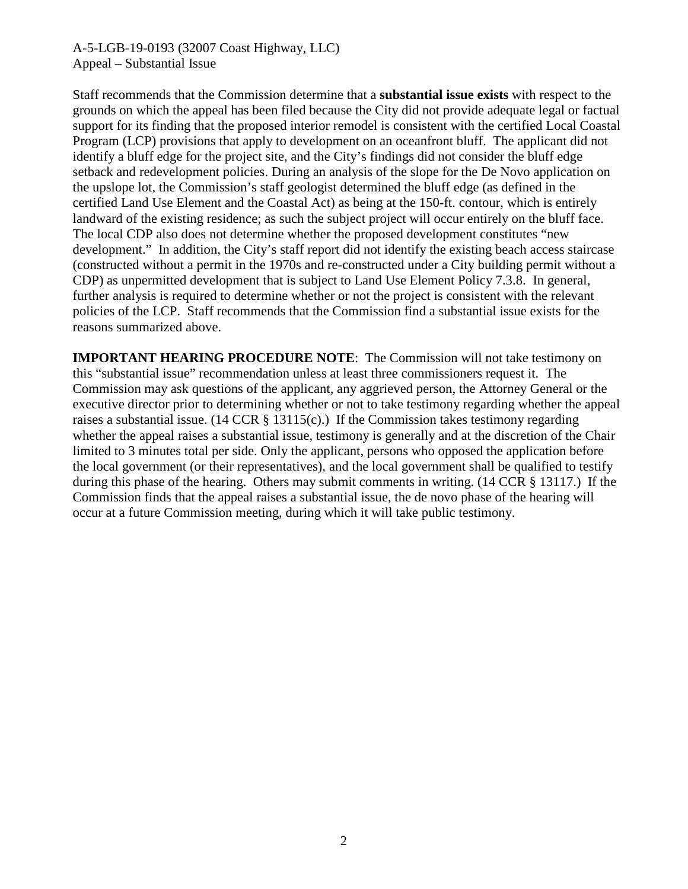Staff recommends that the Commission determine that a **substantial issue exists** with respect to the grounds on which the appeal has been filed because the City did not provide adequate legal or factual support for its finding that the proposed interior remodel is consistent with the certified Local Coastal Program (LCP) provisions that apply to development on an oceanfront bluff. The applicant did not identify a bluff edge for the project site, and the City's findings did not consider the bluff edge setback and redevelopment policies. During an analysis of the slope for the De Novo application on the upslope lot, the Commission's staff geologist determined the bluff edge (as defined in the certified Land Use Element and the Coastal Act) as being at the 150-ft. contour, which is entirely landward of the existing residence; as such the subject project will occur entirely on the bluff face. The local CDP also does not determine whether the proposed development constitutes "new development." In addition, the City's staff report did not identify the existing beach access staircase (constructed without a permit in the 1970s and re-constructed under a City building permit without a CDP) as unpermitted development that is subject to Land Use Element Policy 7.3.8. In general, further analysis is required to determine whether or not the project is consistent with the relevant policies of the LCP. Staff recommends that the Commission find a substantial issue exists for the reasons summarized above.

**IMPORTANT HEARING PROCEDURE NOTE**: The Commission will not take testimony on this "substantial issue" recommendation unless at least three commissioners request it. The Commission may ask questions of the applicant, any aggrieved person, the Attorney General or the executive director prior to determining whether or not to take testimony regarding whether the appeal raises a substantial issue.  $(14 \text{ CCR } \S 13115(c))$  If the Commission takes testimony regarding whether the appeal raises a substantial issue, testimony is generally and at the discretion of the Chair limited to 3 minutes total per side. Only the applicant, persons who opposed the application before the local government (or their representatives), and the local government shall be qualified to testify during this phase of the hearing. Others may submit comments in writing. (14 CCR § 13117.) If the Commission finds that the appeal raises a substantial issue, the de novo phase of the hearing will occur at a future Commission meeting, during which it will take public testimony.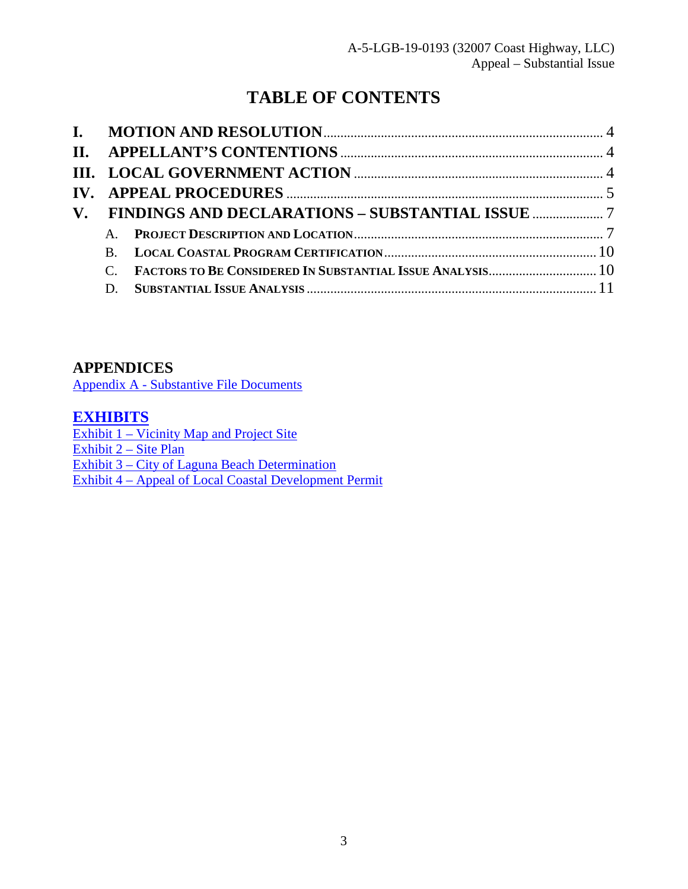# **TABLE OF CONTENTS**

| $\mathbf{B}$ |  |
|--------------|--|
|              |  |
| D.           |  |

# **APPENDICES**

Appendix A - Substantive File Documents

# **[EXHIBITS](https://documents.coastal.ca.gov/reports/2019/11/W21b/W21b-11-2019-exhibits.pdf)**

Exhibit  $1 - \text{Vicinity Map}$  and Project Site [Exhibit 2 – Site Plan](https://documents.coastal.ca.gov/reports/2019/11/W21b/W21b-11-2019-exhibits.pdf) [Exhibit 3 – City of Laguna Beach Determination](https://documents.coastal.ca.gov/reports/2019/11/W21b/W21b-11-2019-exhibits.pdf) [Exhibit 4 – Appeal of Local Coastal Development Permit](https://documents.coastal.ca.gov/reports/2019/11/W21b/W21b-11-2019-exhibits.pdf)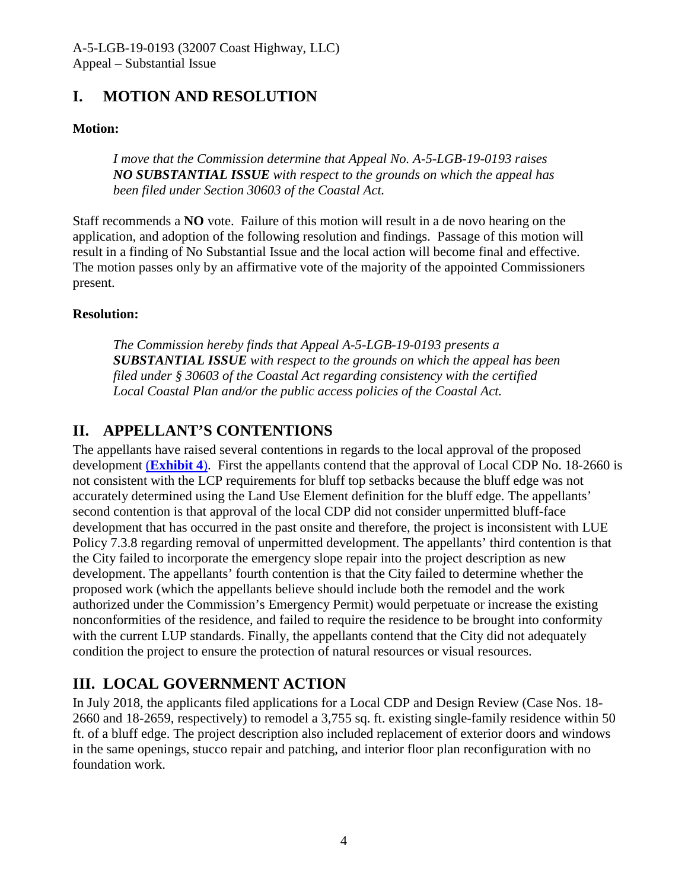# <span id="page-3-0"></span>**I. MOTION AND RESOLUTION**

# **Motion:**

*I move that the Commission determine that Appeal No. A-5-LGB-19-0193 raises NO SUBSTANTIAL ISSUE with respect to the grounds on which the appeal has been filed under Section 30603 of the Coastal Act.* 

Staff recommends a **NO** vote. Failure of this motion will result in a de novo hearing on the application, and adoption of the following resolution and findings. Passage of this motion will result in a finding of No Substantial Issue and the local action will become final and effective. The motion passes only by an affirmative vote of the majority of the appointed Commissioners present.

# **Resolution:**

*The Commission hereby finds that Appeal A-5-LGB-19-0193 presents a SUBSTANTIAL ISSUE with respect to the grounds on which the appeal has been filed under § 30603 of the Coastal Act regarding consistency with the certified Local Coastal Plan and/or the public access policies of the Coastal Act.* 

# <span id="page-3-1"></span>**II. APPELLANT'S CONTENTIONS**

The appellants have raised several contentions in regards to the local approval of the proposed development (**[Exhibit 4](https://documents.coastal.ca.gov/reports/2019/11/W21b/W21b-11-2019-exhibits.pdf)**). First the appellants contend that the approval of Local CDP No. 18-2660 is not consistent with the LCP requirements for bluff top setbacks because the bluff edge was not accurately determined using the Land Use Element definition for the bluff edge. The appellants' second contention is that approval of the local CDP did not consider unpermitted bluff-face development that has occurred in the past onsite and therefore, the project is inconsistent with LUE Policy 7.3.8 regarding removal of unpermitted development. The appellants' third contention is that the City failed to incorporate the emergency slope repair into the project description as new development. The appellants' fourth contention is that the City failed to determine whether the proposed work (which the appellants believe should include both the remodel and the work authorized under the Commission's Emergency Permit) would perpetuate or increase the existing nonconformities of the residence, and failed to require the residence to be brought into conformity with the current LUP standards. Finally, the appellants contend that the City did not adequately condition the project to ensure the protection of natural resources or visual resources.

# <span id="page-3-2"></span>**III. LOCAL GOVERNMENT ACTION**

In July 2018, the applicants filed applications for a Local CDP and Design Review (Case Nos. 18- 2660 and 18-2659, respectively) to remodel a 3,755 sq. ft. existing single-family residence within 50 ft. of a bluff edge. The project description also included replacement of exterior doors and windows in the same openings, stucco repair and patching, and interior floor plan reconfiguration with no foundation work.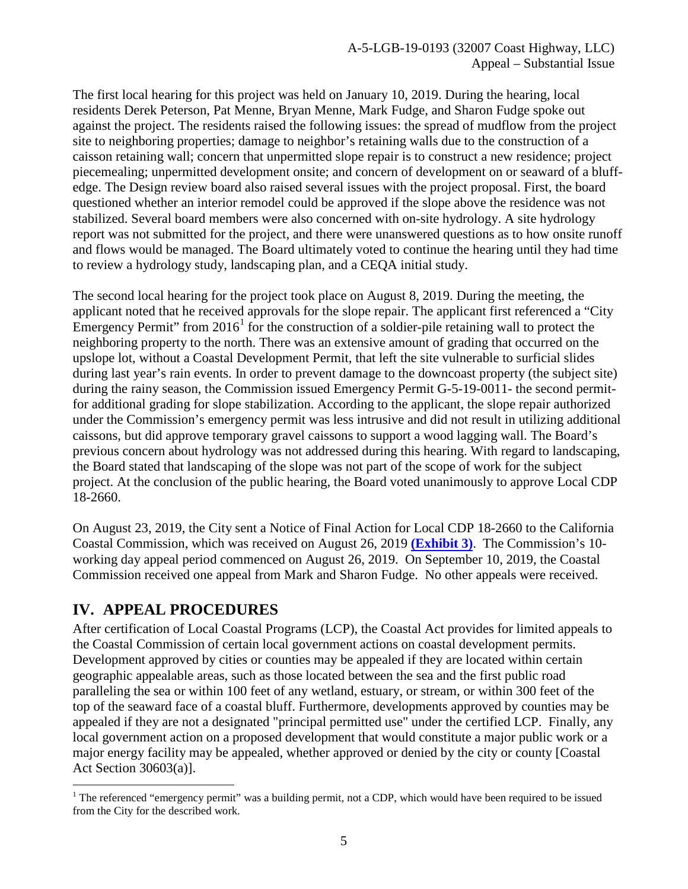The first local hearing for this project was held on January 10, 2019. During the hearing, local residents Derek Peterson, Pat Menne, Bryan Menne, Mark Fudge, and Sharon Fudge spoke out against the project. The residents raised the following issues: the spread of mudflow from the project site to neighboring properties; damage to neighbor's retaining walls due to the construction of a caisson retaining wall; concern that unpermitted slope repair is to construct a new residence; project piecemealing; unpermitted development onsite; and concern of development on or seaward of a bluffedge. The Design review board also raised several issues with the project proposal. First, the board questioned whether an interior remodel could be approved if the slope above the residence was not stabilized. Several board members were also concerned with on-site hydrology. A site hydrology report was not submitted for the project, and there were unanswered questions as to how onsite runoff and flows would be managed. The Board ultimately voted to continue the hearing until they had time to review a hydrology study, landscaping plan, and a CEQA initial study.

The second local hearing for the project took place on August 8, 2019. During the meeting, the applicant noted that he received approvals for the slope repair. The applicant first referenced a "City Emergency Permit" from  $2016<sup>1</sup>$  $2016<sup>1</sup>$  $2016<sup>1</sup>$  for the construction of a soldier-pile retaining wall to protect the neighboring property to the north. There was an extensive amount of grading that occurred on the upslope lot, without a Coastal Development Permit, that left the site vulnerable to surficial slides during last year's rain events. In order to prevent damage to the downcoast property (the subject site) during the rainy season, the Commission issued Emergency Permit G-5-19-0011- the second permitfor additional grading for slope stabilization. According to the applicant, the slope repair authorized under the Commission's emergency permit was less intrusive and did not result in utilizing additional caissons, but did approve temporary gravel caissons to support a wood lagging wall. The Board's previous concern about hydrology was not addressed during this hearing. With regard to landscaping, the Board stated that landscaping of the slope was not part of the scope of work for the subject project. At the conclusion of the public hearing, the Board voted unanimously to approve Local CDP 18-2660.

On August 23, 2019, the City sent a Notice of Final Action for Local CDP 18-2660 to the California Coastal Commission, which was received on August 26, 2019 **[\(Exhibit 3\)](https://documents.coastal.ca.gov/reports/2019/11/W21b/W21b-11-2019-exhibits.pdf)**. The Commission's 10 working day appeal period commenced on August 26, 2019. On September 10, 2019, the Coastal Commission received one appeal from Mark and Sharon Fudge. No other appeals were received.

# <span id="page-4-0"></span>**IV. APPEAL PROCEDURES**

After certification of Local Coastal Programs (LCP), the Coastal Act provides for limited appeals to the Coastal Commission of certain local government actions on coastal development permits. Development approved by cities or counties may be appealed if they are located within certain geographic appealable areas, such as those located between the sea and the first public road paralleling the sea or within 100 feet of any wetland, estuary, or stream, or within 300 feet of the top of the seaward face of a coastal bluff. Furthermore, developments approved by counties may be appealed if they are not a designated "principal permitted use" under the certified LCP. Finally, any local government action on a proposed development that would constitute a major public work or a major energy facility may be appealed, whether approved or denied by the city or county [Coastal Act Section 30603(a)].

<span id="page-4-1"></span> $\overline{a}$ <sup>1</sup> The referenced "emergency permit" was a building permit, not a CDP, which would have been required to be issued from the City for the described work.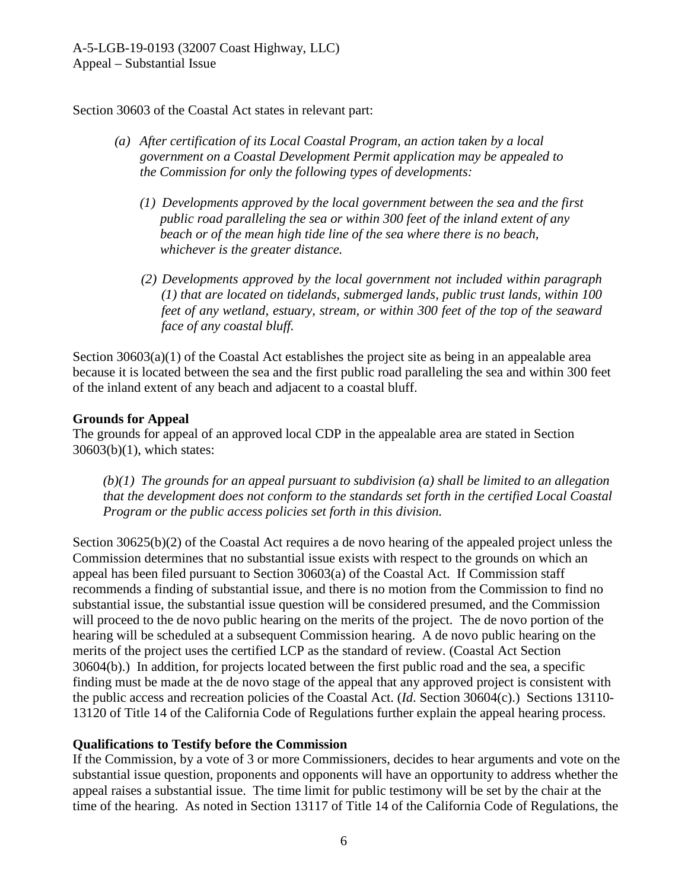Section 30603 of the Coastal Act states in relevant part:

- *(a) After certification of its Local Coastal Program, an action taken by a local government on a Coastal Development Permit application may be appealed to the Commission for only the following types of developments:*
	- *(1) Developments approved by the local government between the sea and the first public road paralleling the sea or within 300 feet of the inland extent of any beach or of the mean high tide line of the sea where there is no beach, whichever is the greater distance.*
	- *(2) Developments approved by the local government not included within paragraph (1) that are located on tidelands, submerged lands, public trust lands, within 100 feet of any wetland, estuary, stream, or within 300 feet of the top of the seaward face of any coastal bluff.*

Section 30603(a)(1) of the Coastal Act establishes the project site as being in an appealable area because it is located between the sea and the first public road paralleling the sea and within 300 feet of the inland extent of any beach and adjacent to a coastal bluff.

#### **Grounds for Appeal**

The grounds for appeal of an approved local CDP in the appealable area are stated in Section 30603(b)(1), which states:

*(b)(1) The grounds for an appeal pursuant to subdivision (a) shall be limited to an allegation that the development does not conform to the standards set forth in the certified Local Coastal Program or the public access policies set forth in this division.*

Section 30625(b)(2) of the Coastal Act requires a de novo hearing of the appealed project unless the Commission determines that no substantial issue exists with respect to the grounds on which an appeal has been filed pursuant to Section 30603(a) of the Coastal Act. If Commission staff recommends a finding of substantial issue, and there is no motion from the Commission to find no substantial issue, the substantial issue question will be considered presumed, and the Commission will proceed to the de novo public hearing on the merits of the project. The de novo portion of the hearing will be scheduled at a subsequent Commission hearing. A de novo public hearing on the merits of the project uses the certified LCP as the standard of review. (Coastal Act Section 30604(b).) In addition, for projects located between the first public road and the sea, a specific finding must be made at the de novo stage of the appeal that any approved project is consistent with the public access and recreation policies of the Coastal Act. (*Id*. Section 30604(c).) Sections 13110- 13120 of Title 14 of the California Code of Regulations further explain the appeal hearing process.

#### **Qualifications to Testify before the Commission**

If the Commission, by a vote of 3 or more Commissioners, decides to hear arguments and vote on the substantial issue question, proponents and opponents will have an opportunity to address whether the appeal raises a substantial issue. The time limit for public testimony will be set by the chair at the time of the hearing. As noted in Section 13117 of Title 14 of the California Code of Regulations, the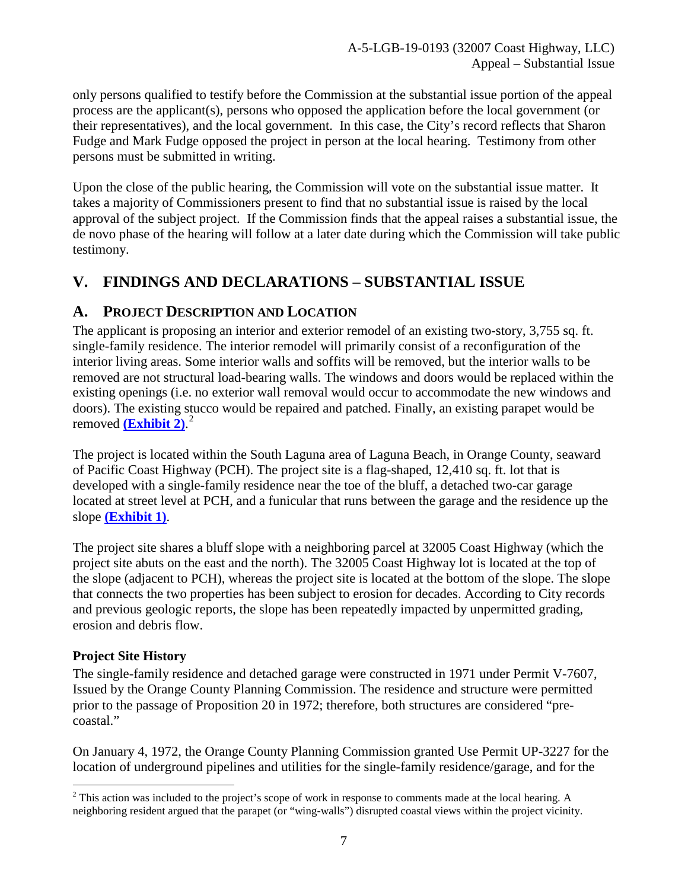only persons qualified to testify before the Commission at the substantial issue portion of the appeal process are the applicant(s), persons who opposed the application before the local government (or their representatives), and the local government. In this case, the City's record reflects that Sharon Fudge and Mark Fudge opposed the project in person at the local hearing. Testimony from other persons must be submitted in writing.

Upon the close of the public hearing, the Commission will vote on the substantial issue matter. It takes a majority of Commissioners present to find that no substantial issue is raised by the local approval of the subject project. If the Commission finds that the appeal raises a substantial issue, the de novo phase of the hearing will follow at a later date during which the Commission will take public testimony.

# <span id="page-6-0"></span>**V. FINDINGS AND DECLARATIONS – SUBSTANTIAL ISSUE**

# <span id="page-6-1"></span>**A. PROJECT DESCRIPTION AND LOCATION**

The applicant is proposing an interior and exterior remodel of an existing two-story, 3,755 sq. ft. single-family residence. The interior remodel will primarily consist of a reconfiguration of the interior living areas. Some interior walls and soffits will be removed, but the interior walls to be removed are not structural load-bearing walls. The windows and doors would be replaced within the existing openings (i.e. no exterior wall removal would occur to accommodate the new windows and doors). The existing stucco would be repaired and patched. Finally, an existing parapet would be removed **[\(Exhibit 2\)](https://documents.coastal.ca.gov/reports/2019/11/W21b/W21b-11-2019-exhibits.pdf)**. [2](#page-6-2)

The project is located within the South Laguna area of Laguna Beach, in Orange County, seaward of Pacific Coast Highway (PCH). The project site is a flag-shaped, 12,410 sq. ft. lot that is developed with a single-family residence near the toe of the bluff, a detached two-car garage located at street level at PCH, and a funicular that runs between the garage and the residence up the slope **[\(Exhibit 1\)](https://documents.coastal.ca.gov/reports/2019/11/W21b/W21b-11-2019-exhibits.pdf)**.

The project site shares a bluff slope with a neighboring parcel at 32005 Coast Highway (which the project site abuts on the east and the north). The 32005 Coast Highway lot is located at the top of the slope (adjacent to PCH), whereas the project site is located at the bottom of the slope. The slope that connects the two properties has been subject to erosion for decades. According to City records and previous geologic reports, the slope has been repeatedly impacted by unpermitted grading, erosion and debris flow.

# **Project Site History**

The single-family residence and detached garage were constructed in 1971 under Permit V-7607, Issued by the Orange County Planning Commission. The residence and structure were permitted prior to the passage of Proposition 20 in 1972; therefore, both structures are considered "precoastal."

On January 4, 1972, the Orange County Planning Commission granted Use Permit UP-3227 for the location of underground pipelines and utilities for the single-family residence/garage, and for the

<span id="page-6-2"></span> $\overline{a}$  $2$  This action was included to the project's scope of work in response to comments made at the local hearing. A neighboring resident argued that the parapet (or "wing-walls") disrupted coastal views within the project vicinity.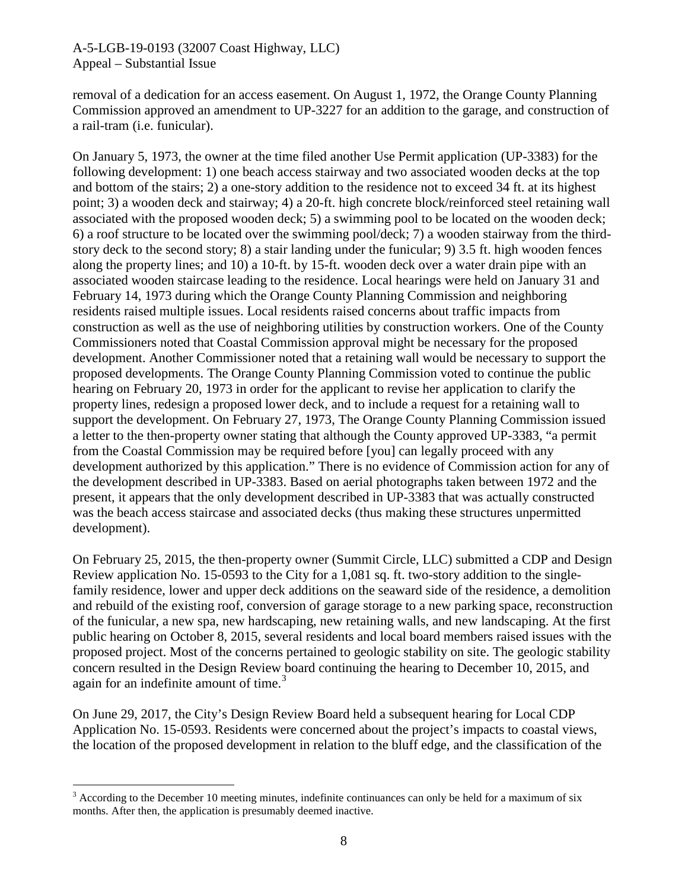removal of a dedication for an access easement. On August 1, 1972, the Orange County Planning Commission approved an amendment to UP-3227 for an addition to the garage, and construction of a rail-tram (i.e. funicular).

On January 5, 1973, the owner at the time filed another Use Permit application (UP-3383) for the following development: 1) one beach access stairway and two associated wooden decks at the top and bottom of the stairs; 2) a one-story addition to the residence not to exceed 34 ft. at its highest point; 3) a wooden deck and stairway; 4) a 20-ft. high concrete block/reinforced steel retaining wall associated with the proposed wooden deck; 5) a swimming pool to be located on the wooden deck; 6) a roof structure to be located over the swimming pool/deck; 7) a wooden stairway from the thirdstory deck to the second story; 8) a stair landing under the funicular; 9) 3.5 ft. high wooden fences along the property lines; and 10) a 10-ft. by 15-ft. wooden deck over a water drain pipe with an associated wooden staircase leading to the residence. Local hearings were held on January 31 and February 14, 1973 during which the Orange County Planning Commission and neighboring residents raised multiple issues. Local residents raised concerns about traffic impacts from construction as well as the use of neighboring utilities by construction workers. One of the County Commissioners noted that Coastal Commission approval might be necessary for the proposed development. Another Commissioner noted that a retaining wall would be necessary to support the proposed developments. The Orange County Planning Commission voted to continue the public hearing on February 20, 1973 in order for the applicant to revise her application to clarify the property lines, redesign a proposed lower deck, and to include a request for a retaining wall to support the development. On February 27, 1973, The Orange County Planning Commission issued a letter to the then-property owner stating that although the County approved UP-3383, "a permit from the Coastal Commission may be required before [you] can legally proceed with any development authorized by this application." There is no evidence of Commission action for any of the development described in UP-3383. Based on aerial photographs taken between 1972 and the present, it appears that the only development described in UP-3383 that was actually constructed was the beach access staircase and associated decks (thus making these structures unpermitted development).

On February 25, 2015, the then-property owner (Summit Circle, LLC) submitted a CDP and Design Review application No. 15-0593 to the City for a 1,081 sq. ft. two-story addition to the singlefamily residence, lower and upper deck additions on the seaward side of the residence, a demolition and rebuild of the existing roof, conversion of garage storage to a new parking space, reconstruction of the funicular, a new spa, new hardscaping, new retaining walls, and new landscaping. At the first public hearing on October 8, 2015, several residents and local board members raised issues with the proposed project. Most of the concerns pertained to geologic stability on site. The geologic stability concern resulted in the Design Review board continuing the hearing to December 10, 2015, and again for an indefinite amount of time.<sup>[3](#page-7-0)</sup>

On June 29, 2017, the City's Design Review Board held a subsequent hearing for Local CDP Application No. 15-0593. Residents were concerned about the project's impacts to coastal views, the location of the proposed development in relation to the bluff edge, and the classification of the

 $\overline{a}$ 

<span id="page-7-0"></span> $3$  According to the December 10 meeting minutes, indefinite continuances can only be held for a maximum of six months. After then, the application is presumably deemed inactive.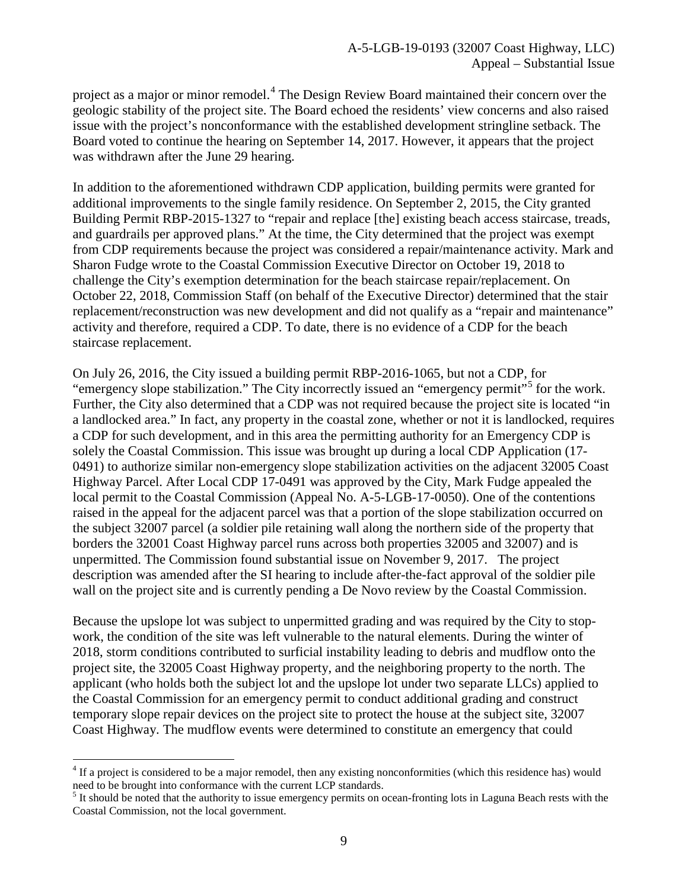project as a major or minor remodel.<sup>[4](#page-8-0)</sup> The Design Review Board maintained their concern over the geologic stability of the project site. The Board echoed the residents' view concerns and also raised issue with the project's nonconformance with the established development stringline setback. The Board voted to continue the hearing on September 14, 2017. However, it appears that the project was withdrawn after the June 29 hearing.

In addition to the aforementioned withdrawn CDP application, building permits were granted for additional improvements to the single family residence. On September 2, 2015, the City granted Building Permit RBP-2015-1327 to "repair and replace [the] existing beach access staircase, treads, and guardrails per approved plans." At the time, the City determined that the project was exempt from CDP requirements because the project was considered a repair/maintenance activity. Mark and Sharon Fudge wrote to the Coastal Commission Executive Director on October 19, 2018 to challenge the City's exemption determination for the beach staircase repair/replacement. On October 22, 2018, Commission Staff (on behalf of the Executive Director) determined that the stair replacement/reconstruction was new development and did not qualify as a "repair and maintenance" activity and therefore, required a CDP. To date, there is no evidence of a CDP for the beach staircase replacement.

On July 26, 2016, the City issued a building permit RBP-2016-1065, but not a CDP, for "emergency slope stabilization." The City incorrectly issued an "emergency permit"<sup>[5](#page-8-1)</sup> for the work. Further, the City also determined that a CDP was not required because the project site is located "in a landlocked area." In fact, any property in the coastal zone, whether or not it is landlocked, requires a CDP for such development, and in this area the permitting authority for an Emergency CDP is solely the Coastal Commission. This issue was brought up during a local CDP Application (17- 0491) to authorize similar non-emergency slope stabilization activities on the adjacent 32005 Coast Highway Parcel. After Local CDP 17-0491 was approved by the City, Mark Fudge appealed the local permit to the Coastal Commission (Appeal No. A-5-LGB-17-0050). One of the contentions raised in the appeal for the adjacent parcel was that a portion of the slope stabilization occurred on the subject 32007 parcel (a soldier pile retaining wall along the northern side of the property that borders the 32001 Coast Highway parcel runs across both properties 32005 and 32007) and is unpermitted. The Commission found substantial issue on November 9, 2017. The project description was amended after the SI hearing to include after-the-fact approval of the soldier pile wall on the project site and is currently pending a De Novo review by the Coastal Commission.

Because the upslope lot was subject to unpermitted grading and was required by the City to stopwork, the condition of the site was left vulnerable to the natural elements. During the winter of 2018, storm conditions contributed to surficial instability leading to debris and mudflow onto the project site, the 32005 Coast Highway property, and the neighboring property to the north. The applicant (who holds both the subject lot and the upslope lot under two separate LLCs) applied to the Coastal Commission for an emergency permit to conduct additional grading and construct temporary slope repair devices on the project site to protect the house at the subject site, 32007 Coast Highway. The mudflow events were determined to constitute an emergency that could

 $\overline{a}$ 

<span id="page-8-0"></span><sup>&</sup>lt;sup>4</sup> If a project is considered to be a major remodel, then any existing nonconformities (which this residence has) would need to be brought into conformance with the current LCP standards.

<span id="page-8-1"></span> $<sup>5</sup>$  It should be noted that the authority to issue emergency permits on ocean-fronting lots in Laguna Beach rests with the</sup> Coastal Commission, not the local government.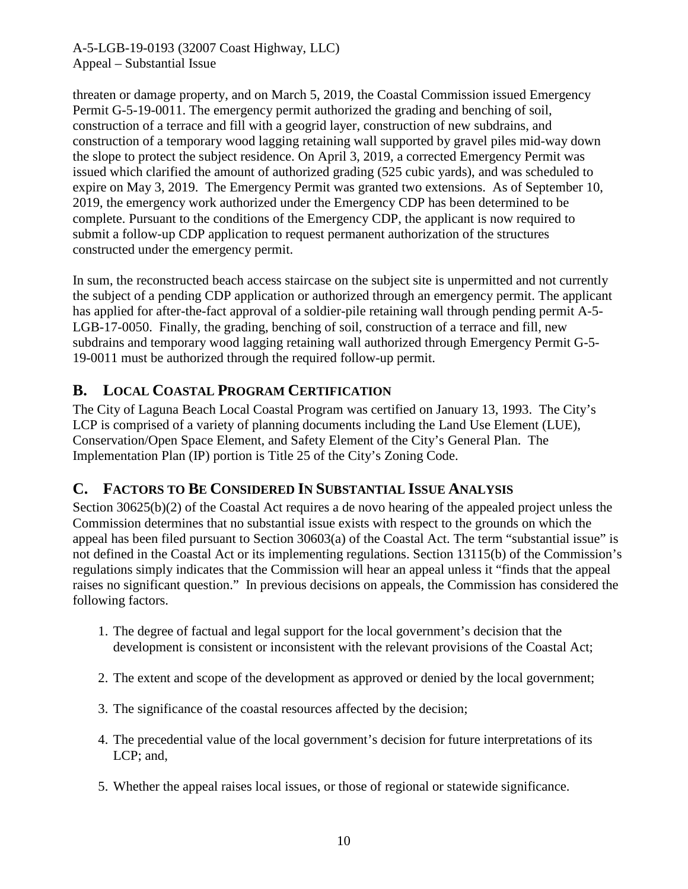threaten or damage property, and on March 5, 2019, the Coastal Commission issued Emergency Permit G-5-19-0011. The emergency permit authorized the grading and benching of soil, construction of a terrace and fill with a geogrid layer, construction of new subdrains, and construction of a temporary wood lagging retaining wall supported by gravel piles mid-way down the slope to protect the subject residence. On April 3, 2019, a corrected Emergency Permit was issued which clarified the amount of authorized grading (525 cubic yards), and was scheduled to expire on May 3, 2019. The Emergency Permit was granted two extensions. As of September 10, 2019, the emergency work authorized under the Emergency CDP has been determined to be complete. Pursuant to the conditions of the Emergency CDP, the applicant is now required to submit a follow-up CDP application to request permanent authorization of the structures constructed under the emergency permit.

In sum, the reconstructed beach access staircase on the subject site is unpermitted and not currently the subject of a pending CDP application or authorized through an emergency permit. The applicant has applied for after-the-fact approval of a soldier-pile retaining wall through pending permit A-5- LGB-17-0050. Finally, the grading, benching of soil, construction of a terrace and fill, new subdrains and temporary wood lagging retaining wall authorized through Emergency Permit G-5- 19-0011 must be authorized through the required follow-up permit.

# <span id="page-9-0"></span>**B. LOCAL COASTAL PROGRAM CERTIFICATION**

The City of Laguna Beach Local Coastal Program was certified on January 13, 1993. The City's LCP is comprised of a variety of planning documents including the Land Use Element (LUE), Conservation/Open Space Element, and Safety Element of the City's General Plan. The Implementation Plan (IP) portion is Title 25 of the City's Zoning Code.

# <span id="page-9-1"></span>**C. FACTORS TO BE CONSIDERED IN SUBSTANTIAL ISSUE ANALYSIS**

Section 30625(b)(2) of the Coastal Act requires a de novo hearing of the appealed project unless the Commission determines that no substantial issue exists with respect to the grounds on which the appeal has been filed pursuant to Section 30603(a) of the Coastal Act. The term "substantial issue" is not defined in the Coastal Act or its implementing regulations. Section 13115(b) of the Commission's regulations simply indicates that the Commission will hear an appeal unless it "finds that the appeal raises no significant question." In previous decisions on appeals, the Commission has considered the following factors.

- 1. The degree of factual and legal support for the local government's decision that the development is consistent or inconsistent with the relevant provisions of the Coastal Act;
- 2. The extent and scope of the development as approved or denied by the local government;
- 3. The significance of the coastal resources affected by the decision;
- 4. The precedential value of the local government's decision for future interpretations of its LCP; and,
- 5. Whether the appeal raises local issues, or those of regional or statewide significance.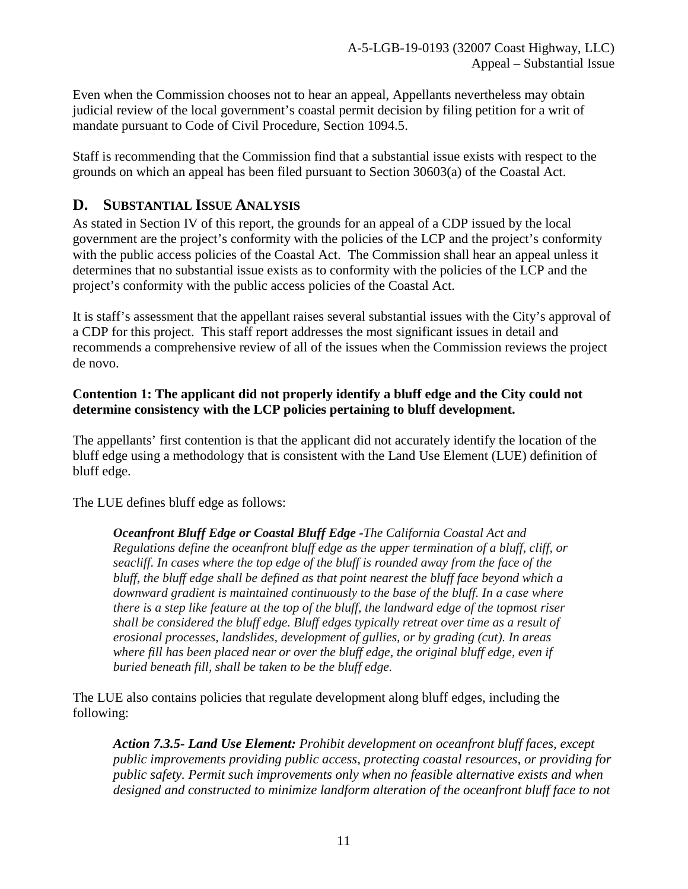Even when the Commission chooses not to hear an appeal, Appellants nevertheless may obtain judicial review of the local government's coastal permit decision by filing petition for a writ of mandate pursuant to Code of Civil Procedure, Section 1094.5.

Staff is recommending that the Commission find that a substantial issue exists with respect to the grounds on which an appeal has been filed pursuant to Section 30603(a) of the Coastal Act.

# <span id="page-10-0"></span>**D. SUBSTANTIAL ISSUE ANALYSIS**

As stated in Section IV of this report, the grounds for an appeal of a CDP issued by the local government are the project's conformity with the policies of the LCP and the project's conformity with the public access policies of the Coastal Act. The Commission shall hear an appeal unless it determines that no substantial issue exists as to conformity with the policies of the LCP and the project's conformity with the public access policies of the Coastal Act.

It is staff's assessment that the appellant raises several substantial issues with the City's approval of a CDP for this project. This staff report addresses the most significant issues in detail and recommends a comprehensive review of all of the issues when the Commission reviews the project de novo.

#### **Contention 1: The applicant did not properly identify a bluff edge and the City could not determine consistency with the LCP policies pertaining to bluff development.**

The appellants' first contention is that the applicant did not accurately identify the location of the bluff edge using a methodology that is consistent with the Land Use Element (LUE) definition of bluff edge.

The LUE defines bluff edge as follows:

*Oceanfront Bluff Edge or Coastal Bluff Edge -The California Coastal Act and Regulations define the oceanfront bluff edge as the upper termination of a bluff, cliff, or seacliff. In cases where the top edge of the bluff is rounded away from the face of the bluff, the bluff edge shall be defined as that point nearest the bluff face beyond which a downward gradient is maintained continuously to the base of the bluff. In a case where there is a step like feature at the top of the bluff, the landward edge of the topmost riser shall be considered the bluff edge. Bluff edges typically retreat over time as a result of erosional processes, landslides, development of gullies, or by grading (cut). In areas where fill has been placed near or over the bluff edge, the original bluff edge, even if buried beneath fill, shall be taken to be the bluff edge.* 

The LUE also contains policies that regulate development along bluff edges, including the following:

*Action 7.3.5- Land Use Element: Prohibit development on oceanfront bluff faces, except public improvements providing public access, protecting coastal resources, or providing for public safety. Permit such improvements only when no feasible alternative exists and when designed and constructed to minimize landform alteration of the oceanfront bluff face to not*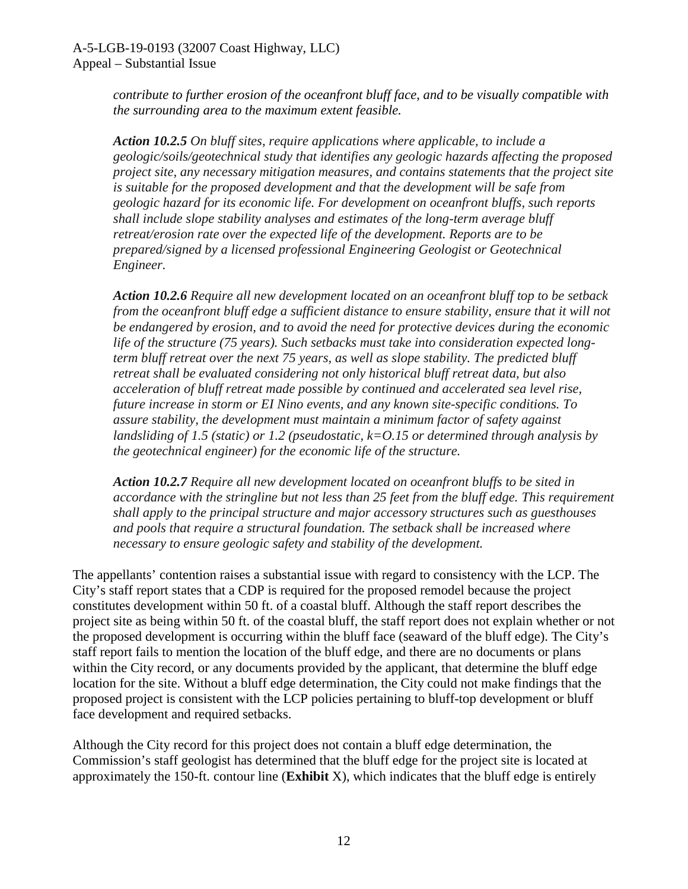*contribute to further erosion of the oceanfront bluff face, and to be visually compatible with the surrounding area to the maximum extent feasible.* 

*Action 10.2.5 On bluff sites, require applications where applicable, to include a geologic/soils/geotechnical study that identifies any geologic hazards affecting the proposed project site, any necessary mitigation measures, and contains statements that the project site is suitable for the proposed development and that the development will be safe from geologic hazard for its economic life. For development on oceanfront bluffs, such reports shall include slope stability analyses and estimates of the long-term average bluff retreat/erosion rate over the expected life of the development. Reports are to be prepared/signed by a licensed professional Engineering Geologist or Geotechnical Engineer.* 

*Action 10.2.6 Require all new development located on an oceanfront bluff top to be setback from the oceanfront bluff edge a sufficient distance to ensure stability, ensure that it will not be endangered by erosion, and to avoid the need for protective devices during the economic life of the structure (75 years). Such setbacks must take into consideration expected longterm bluff retreat over the next 75 years, as well as slope stability. The predicted bluff retreat shall be evaluated considering not only historical bluff retreat data, but also acceleration of bluff retreat made possible by continued and accelerated sea level rise, future increase in storm or EI Nino events, and any known site-specific conditions. To assure stability, the development must maintain a minimum factor of safety against landsliding of 1.5 (static) or 1.2 (pseudostatic, k=O.15 or determined through analysis by the geotechnical engineer) for the economic life of the structure.* 

*Action 10.2.7 Require all new development located on oceanfront bluffs to be sited in accordance with the stringline but not less than 25 feet from the bluff edge. This requirement shall apply to the principal structure and major accessory structures such as guesthouses and pools that require a structural foundation. The setback shall be increased where necessary to ensure geologic safety and stability of the development.*

The appellants' contention raises a substantial issue with regard to consistency with the LCP. The City's staff report states that a CDP is required for the proposed remodel because the project constitutes development within 50 ft. of a coastal bluff. Although the staff report describes the project site as being within 50 ft. of the coastal bluff, the staff report does not explain whether or not the proposed development is occurring within the bluff face (seaward of the bluff edge). The City's staff report fails to mention the location of the bluff edge, and there are no documents or plans within the City record, or any documents provided by the applicant, that determine the bluff edge location for the site. Without a bluff edge determination, the City could not make findings that the proposed project is consistent with the LCP policies pertaining to bluff-top development or bluff face development and required setbacks.

Although the City record for this project does not contain a bluff edge determination, the Commission's staff geologist has determined that the bluff edge for the project site is located at approximately the 150-ft. contour line (**Exhibit** X), which indicates that the bluff edge is entirely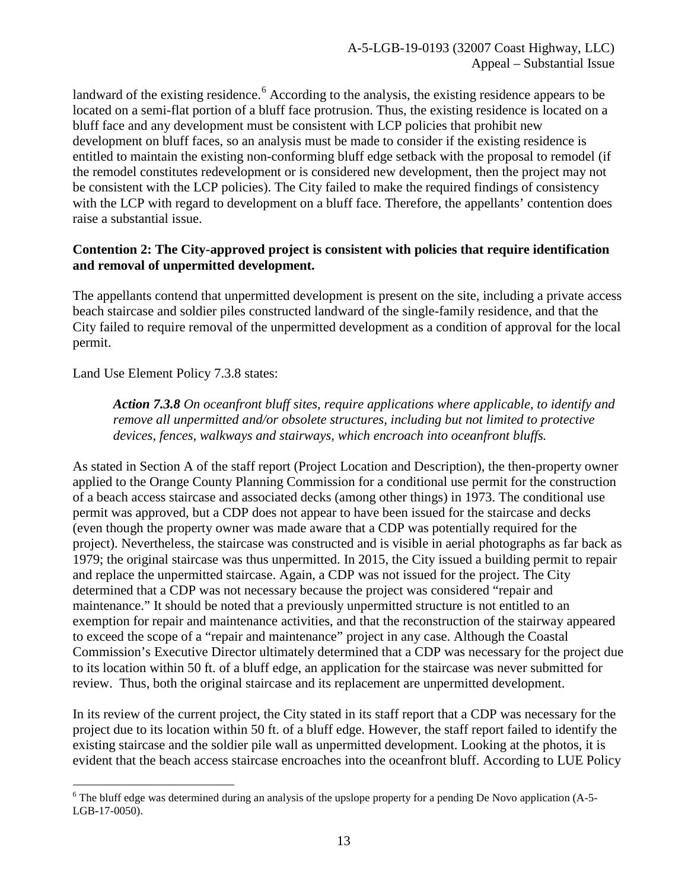landward of the existing residence.<sup>[6](#page-12-0)</sup> According to the analysis, the existing residence appears to be located on a semi-flat portion of a bluff face protrusion. Thus, the existing residence is located on a bluff face and any development must be consistent with LCP policies that prohibit new development on bluff faces, so an analysis must be made to consider if the existing residence is entitled to maintain the existing non-conforming bluff edge setback with the proposal to remodel (if the remodel constitutes redevelopment or is considered new development, then the project may not be consistent with the LCP policies). The City failed to make the required findings of consistency with the LCP with regard to development on a bluff face. Therefore, the appellants' contention does raise a substantial issue.

#### **Contention 2: The City-approved project is consistent with policies that require identification and removal of unpermitted development.**

The appellants contend that unpermitted development is present on the site, including a private access beach staircase and soldier piles constructed landward of the single-family residence, and that the City failed to require removal of the unpermitted development as a condition of approval for the local permit.

Land Use Element Policy 7.3.8 states:

*Action 7.3.8 On oceanfront bluff sites, require applications where applicable, to identify and remove all unpermitted and/or obsolete structures, including but not limited to protective devices, fences, walkways and stairways, which encroach into oceanfront bluffs.* 

As stated in Section A of the staff report (Project Location and Description), the then-property owner applied to the Orange County Planning Commission for a conditional use permit for the construction of a beach access staircase and associated decks (among other things) in 1973. The conditional use permit was approved, but a CDP does not appear to have been issued for the staircase and decks (even though the property owner was made aware that a CDP was potentially required for the project). Nevertheless, the staircase was constructed and is visible in aerial photographs as far back as 1979; the original staircase was thus unpermitted. In 2015, the City issued a building permit to repair and replace the unpermitted staircase. Again, a CDP was not issued for the project. The City determined that a CDP was not necessary because the project was considered "repair and maintenance." It should be noted that a previously unpermitted structure is not entitled to an exemption for repair and maintenance activities, and that the reconstruction of the stairway appeared to exceed the scope of a "repair and maintenance" project in any case. Although the Coastal Commission's Executive Director ultimately determined that a CDP was necessary for the project due to its location within 50 ft. of a bluff edge, an application for the staircase was never submitted for review. Thus, both the original staircase and its replacement are unpermitted development.

In its review of the current project, the City stated in its staff report that a CDP was necessary for the project due to its location within 50 ft. of a bluff edge. However, the staff report failed to identify the existing staircase and the soldier pile wall as unpermitted development. Looking at the photos, it is evident that the beach access staircase encroaches into the oceanfront bluff. According to LUE Policy

<span id="page-12-0"></span> $\overline{a}$  $6$  The bluff edge was determined during an analysis of the upslope property for a pending De Novo application (A-5-LGB-17-0050).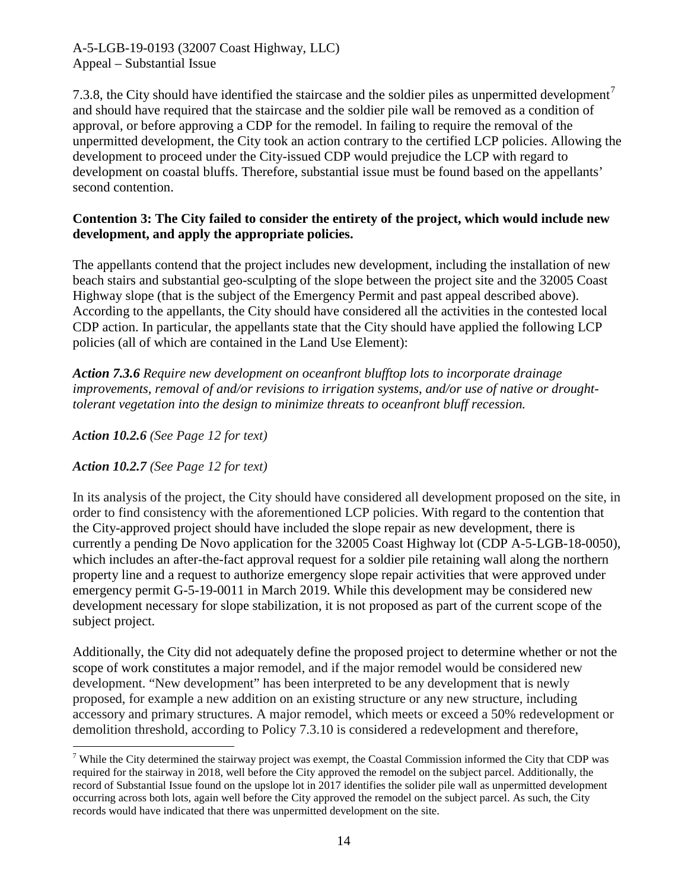[7](#page-13-0).3.8, the City should have identified the staircase and the soldier piles as unpermitted development<sup>7</sup> and should have required that the staircase and the soldier pile wall be removed as a condition of approval, or before approving a CDP for the remodel. In failing to require the removal of the unpermitted development, the City took an action contrary to the certified LCP policies. Allowing the development to proceed under the City-issued CDP would prejudice the LCP with regard to development on coastal bluffs. Therefore, substantial issue must be found based on the appellants' second contention.

#### **Contention 3: The City failed to consider the entirety of the project, which would include new development, and apply the appropriate policies.**

The appellants contend that the project includes new development, including the installation of new beach stairs and substantial geo-sculpting of the slope between the project site and the 32005 Coast Highway slope (that is the subject of the Emergency Permit and past appeal described above). According to the appellants, the City should have considered all the activities in the contested local CDP action. In particular, the appellants state that the City should have applied the following LCP policies (all of which are contained in the Land Use Element):

*Action 7.3.6 Require new development on oceanfront blufftop lots to incorporate drainage improvements, removal of and/or revisions to irrigation systems, and/or use of native or droughttolerant vegetation into the design to minimize threats to oceanfront bluff recession.* 

*Action 10.2.6 (See Page 12 for text)* 

*Action 10.2.7 (See Page 12 for text)*

In its analysis of the project, the City should have considered all development proposed on the site, in order to find consistency with the aforementioned LCP policies. With regard to the contention that the City-approved project should have included the slope repair as new development, there is currently a pending De Novo application for the 32005 Coast Highway lot (CDP A-5-LGB-18-0050), which includes an after-the-fact approval request for a soldier pile retaining wall along the northern property line and a request to authorize emergency slope repair activities that were approved under emergency permit G-5-19-0011 in March 2019. While this development may be considered new development necessary for slope stabilization, it is not proposed as part of the current scope of the subject project.

Additionally, the City did not adequately define the proposed project to determine whether or not the scope of work constitutes a major remodel, and if the major remodel would be considered new development. "New development" has been interpreted to be any development that is newly proposed, for example a new addition on an existing structure or any new structure, including accessory and primary structures. A major remodel, which meets or exceed a 50% redevelopment or demolition threshold, according to Policy 7.3.10 is considered a redevelopment and therefore,

<span id="page-13-0"></span> $\overline{a}$ <sup>7</sup> While the City determined the stairway project was exempt, the Coastal Commission informed the City that CDP was required for the stairway in 2018, well before the City approved the remodel on the subject parcel. Additionally, the record of Substantial Issue found on the upslope lot in 2017 identifies the solider pile wall as unpermitted development occurring across both lots, again well before the City approved the remodel on the subject parcel. As such, the City records would have indicated that there was unpermitted development on the site.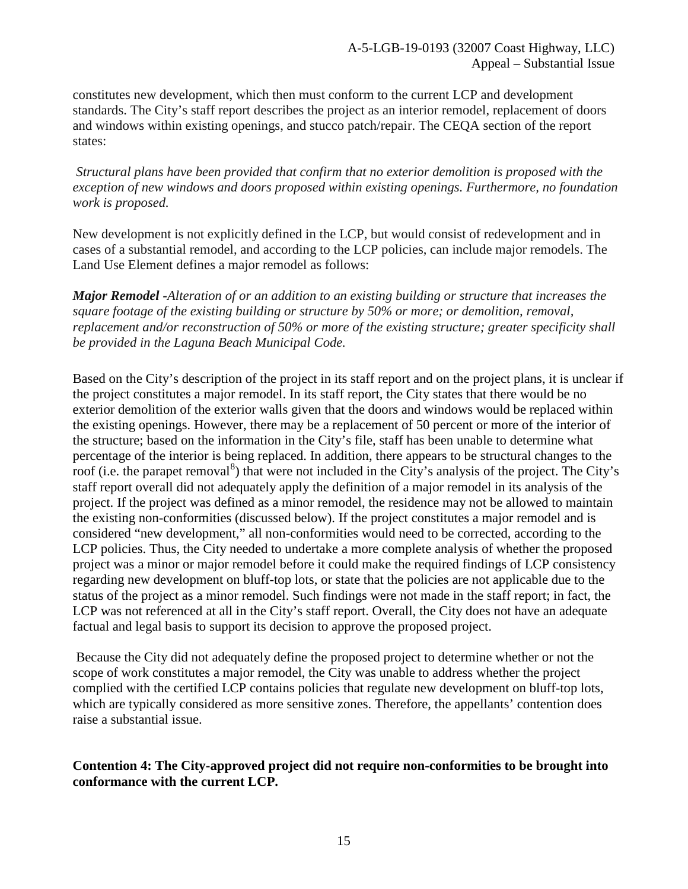constitutes new development, which then must conform to the current LCP and development standards. The City's staff report describes the project as an interior remodel, replacement of doors and windows within existing openings, and stucco patch/repair. The CEQA section of the report states:

 *Structural plans have been provided that confirm that no exterior demolition is proposed with the exception of new windows and doors proposed within existing openings. Furthermore, no foundation work is proposed.* 

New development is not explicitly defined in the LCP, but would consist of redevelopment and in cases of a substantial remodel, and according to the LCP policies, can include major remodels. The Land Use Element defines a major remodel as follows:

*Major Remodel -Alteration of or an addition to an existing building or structure that increases the square footage of the existing building or structure by 50% or more; or demolition, removal, replacement and/or reconstruction of 50% or more of the existing structure; greater specificity shall be provided in the Laguna Beach Municipal Code.* 

Based on the City's description of the project in its staff report and on the project plans, it is unclear if the project constitutes a major remodel. In its staff report, the City states that there would be no exterior demolition of the exterior walls given that the doors and windows would be replaced within the existing openings. However, there may be a replacement of 50 percent or more of the interior of the structure; based on the information in the City's file, staff has been unable to determine what percentage of the interior is being replaced. In addition, there appears to be structural changes to the roof (i.e. the parapet removal<sup>[8](#page-14-0)</sup>) that were not included in the City's analysis of the project. The City's staff report overall did not adequately apply the definition of a major remodel in its analysis of the project. If the project was defined as a minor remodel, the residence may not be allowed to maintain the existing non-conformities (discussed below). If the project constitutes a major remodel and is considered "new development," all non-conformities would need to be corrected, according to the LCP policies. Thus, the City needed to undertake a more complete analysis of whether the proposed project was a minor or major remodel before it could make the required findings of LCP consistency regarding new development on bluff-top lots, or state that the policies are not applicable due to the status of the project as a minor remodel. Such findings were not made in the staff report; in fact, the LCP was not referenced at all in the City's staff report. Overall, the City does not have an adequate factual and legal basis to support its decision to approve the proposed project.

Because the City did not adequately define the proposed project to determine whether or not the scope of work constitutes a major remodel, the City was unable to address whether the project complied with the certified LCP contains policies that regulate new development on bluff-top lots, which are typically considered as more sensitive zones. Therefore, the appellants' contention does raise a substantial issue.

<span id="page-14-0"></span>**Contention 4: The City-approved project did not require non-conformities to be brought into conformance with the current LCP.**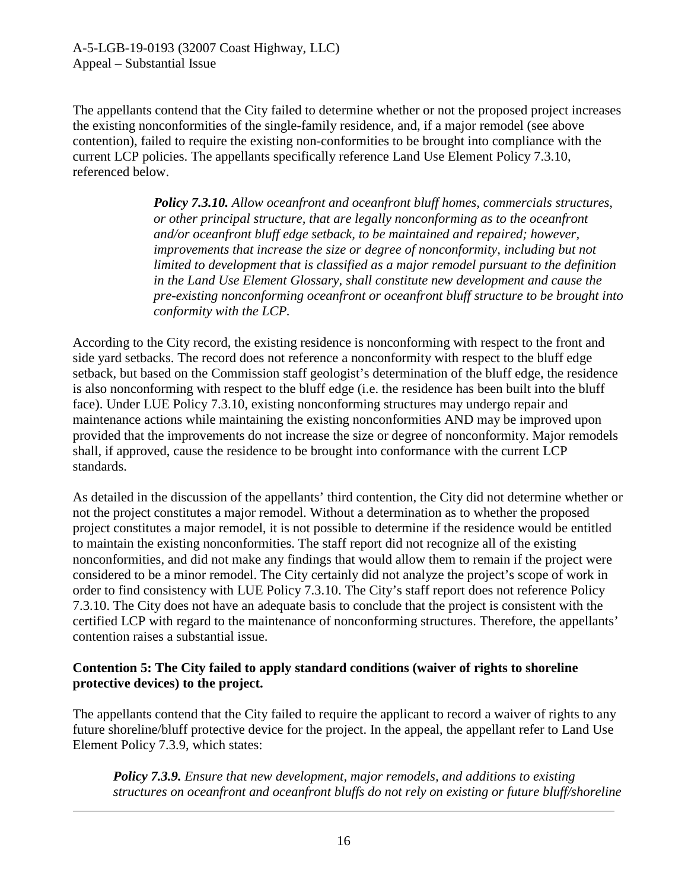The appellants contend that the City failed to determine whether or not the proposed project increases the existing nonconformities of the single-family residence, and, if a major remodel (see above contention), failed to require the existing non-conformities to be brought into compliance with the current LCP policies. The appellants specifically reference Land Use Element Policy 7.3.10, referenced below.

> *Policy 7.3.10. Allow oceanfront and oceanfront bluff homes, commercials structures, or other principal structure, that are legally nonconforming as to the oceanfront and/or oceanfront bluff edge setback, to be maintained and repaired; however, improvements that increase the size or degree of nonconformity, including but not limited to development that is classified as a major remodel pursuant to the definition in the Land Use Element Glossary, shall constitute new development and cause the pre-existing nonconforming oceanfront or oceanfront bluff structure to be brought into conformity with the LCP.*

According to the City record, the existing residence is nonconforming with respect to the front and side yard setbacks. The record does not reference a nonconformity with respect to the bluff edge setback, but based on the Commission staff geologist's determination of the bluff edge, the residence is also nonconforming with respect to the bluff edge (i.e. the residence has been built into the bluff face). Under LUE Policy 7.3.10, existing nonconforming structures may undergo repair and maintenance actions while maintaining the existing nonconformities AND may be improved upon provided that the improvements do not increase the size or degree of nonconformity. Major remodels shall, if approved, cause the residence to be brought into conformance with the current LCP standards.

As detailed in the discussion of the appellants' third contention, the City did not determine whether or not the project constitutes a major remodel. Without a determination as to whether the proposed project constitutes a major remodel, it is not possible to determine if the residence would be entitled to maintain the existing nonconformities. The staff report did not recognize all of the existing nonconformities, and did not make any findings that would allow them to remain if the project were considered to be a minor remodel. The City certainly did not analyze the project's scope of work in order to find consistency with LUE Policy 7.3.10. The City's staff report does not reference Policy 7.3.10. The City does not have an adequate basis to conclude that the project is consistent with the certified LCP with regard to the maintenance of nonconforming structures. Therefore, the appellants' contention raises a substantial issue.

#### **Contention 5: The City failed to apply standard conditions (waiver of rights to shoreline protective devices) to the project.**

The appellants contend that the City failed to require the applicant to record a waiver of rights to any future shoreline/bluff protective device for the project. In the appeal, the appellant refer to Land Use Element Policy 7.3.9, which states:

*Policy 7.3.9. Ensure that new development, major remodels, and additions to existing structures on oceanfront and oceanfront bluffs do not rely on existing or future bluff/shoreline* 

<u>.</u>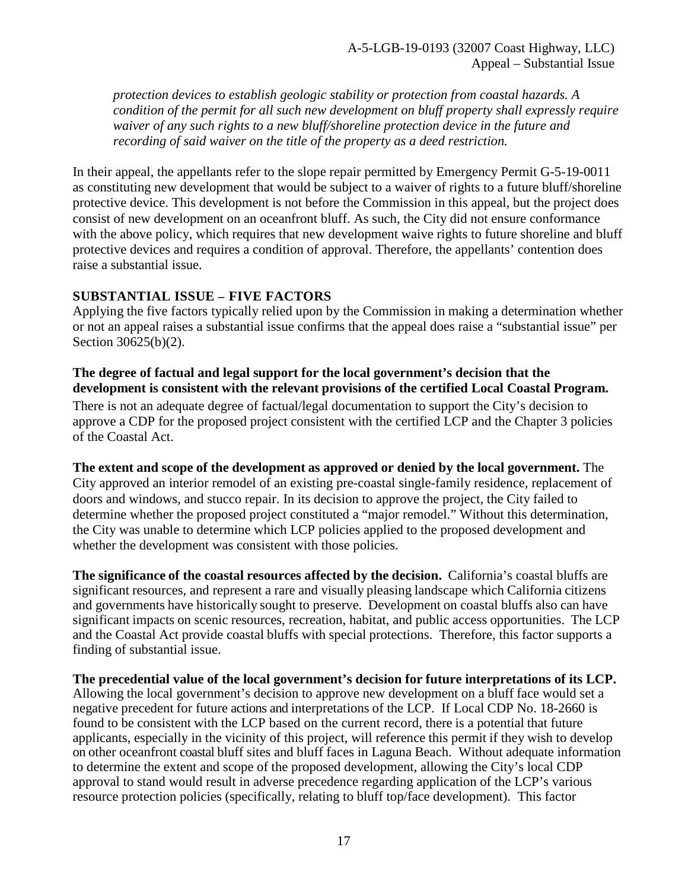*protection devices to establish geologic stability or protection from coastal hazards. A condition of the permit for all such new development on bluff property shall expressly require waiver of any such rights to a new bluff/shoreline protection device in the future and recording of said waiver on the title of the property as a deed restriction.* 

In their appeal, the appellants refer to the slope repair permitted by Emergency Permit G-5-19-0011 as constituting new development that would be subject to a waiver of rights to a future bluff/shoreline protective device. This development is not before the Commission in this appeal, but the project does consist of new development on an oceanfront bluff. As such, the City did not ensure conformance with the above policy, which requires that new development waive rights to future shoreline and bluff protective devices and requires a condition of approval. Therefore, the appellants' contention does raise a substantial issue.

#### **SUBSTANTIAL ISSUE – FIVE FACTORS**

Applying the five factors typically relied upon by the Commission in making a determination whether or not an appeal raises a substantial issue confirms that the appeal does raise a "substantial issue" per Section 30625(b)(2).

#### **The degree of factual and legal support for the local government's decision that the development is consistent with the relevant provisions of the certified Local Coastal Program.**

There is not an adequate degree of factual/legal documentation to support the City's decision to approve a CDP for the proposed project consistent with the certified LCP and the Chapter 3 policies of the Coastal Act.

#### **The extent and scope of the development as approved or denied by the local government.** The

City approved an interior remodel of an existing pre-coastal single-family residence, replacement of doors and windows, and stucco repair. In its decision to approve the project, the City failed to determine whether the proposed project constituted a "major remodel." Without this determination, the City was unable to determine which LCP policies applied to the proposed development and whether the development was consistent with those policies.

**The significance of the coastal resources affected by the decision.** California's coastal bluffs are significant resources, and represent a rare and visually pleasing landscape which California citizens and governments have historically sought to preserve. Development on coastal bluffs also can have significant impacts on scenic resources, recreation, habitat, and public access opportunities. The LCP and the Coastal Act provide coastal bluffs with special protections. Therefore, this factor supports a finding of substantial issue.

**The precedential value of the local government's decision for future interpretations of its LCP.** Allowing the local government's decision to approve new development on a bluff face would set a negative precedent for future actions and interpretations of the LCP. If Local CDP No. 18-2660 is found to be consistent with the LCP based on the current record, there is a potential that future applicants, especially in the vicinity of this project, will reference this permit if they wish to develop on other oceanfront coastal bluff sites and bluff faces in Laguna Beach. Without adequate information to determine the extent and scope of the proposed development, allowing the City's local CDP approval to stand would result in adverse precedence regarding application of the LCP's various resource protection policies (specifically, relating to bluff top/face development). This factor